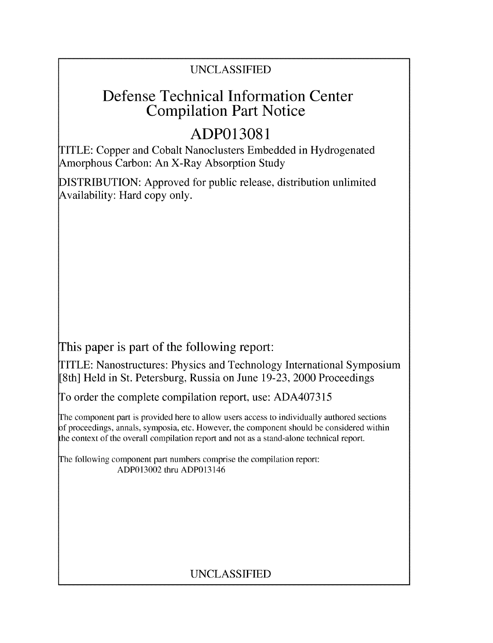# UNCLASSIFIED

# Defense Technical Information Center Compilation Part Notice

# **ADP013081**

TITLE: Copper and Cobalt Nanoclusters Embedded in Hydrogenated Amorphous Carbon: An X-Ray Absorption Study

DISTRIBUTION: Approved for public release, distribution unlimited Availability: Hard copy only.

This paper is part of the following report:

TITLE: Nanostructures: Physics and Technology International Symposium [8th] Held in St. Petersburg, Russia on June 19-23, 2000 Proceedings

To order the complete compilation report, use: ADA407315

The component part is provided here to allow users access to individually authored sections f proceedings, annals, symposia, etc. However, the component should be considered within the context of the overall compilation report and not as a stand-alone technical report.

The following component part numbers comprise the compilation report: ADP013002 thru ADP013146

# UNCLASSIFIED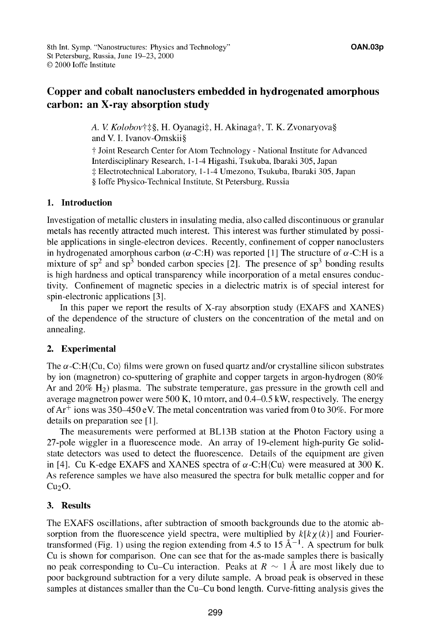## Copper and cobalt nanoclusters embedded in hydrogenated amorphous carbon: an X-ray absorption study

A. V. Kolobov†‡§, H. Oyanagi‡, H. Akinaga†, T. K. Zvonaryova§ and V. I. Ivanov-Omskii§

**T** Joint Research Center for Atom Technology - National Institute for Advanced Interdisciplinary Research, 1-1-4 Higashi, Tsukuba, Ibaraki 305, Japan -: Electrotechnical Laboratory, 1-1-4 Umezono, Tsukuba, Ibaraki 305, Japan § Joffe Physico-Technical Institute, St Petersburg, Russia

## **1.** Introduction

Investigation of metallic clusters in insulating media, also called discontinuous or granular metals has recently attracted much interest. This interest was further stimulated by possible applications in single-electron devices. Recently, confinement of copper nanoclusters in hydrogenated amorphous carbon ( $\alpha$ -C:H) was reported [1] The structure of  $\alpha$ -C:H is a mixture of  $sp^2$  and  $sp^3$  bonded carbon species [2]. The presence of  $sp^3$  bonding results is high hardness and optical transparency while incorporation of a metal ensures conductivity. Confinement of magnetic species in a dielectric matrix is of special interest for spin-electronic applications [3].

In this paper we report the results of X-ray absorption study (EXAFS and XANES) of the dependence of the structure of clusters on the concentration of the metal and on annealing.

### 2. Experimental

The  $\alpha$ -C:H(Cu, Co) films were grown on fused quartz and/or crystalline silicon substrates by ion (magnetron) co-sputtering of graphite and copper targets in argon-hydrogen (80% Ar and  $20\%$  H<sub>2</sub>) plasma. The substrate temperature, gas pressure in the growth cell and average magnetron power were 500 K, 10 mtorr, and 0.4-0.5 kW, respectively. The energy of  $Ar^+$  ions was 350-450 eV. The metal concentration was varied from 0 to 30%. For more details on preparation see **[11.**

The measurements were performed at BL13B station at the Photon Factory using a 27-pole wiggler in a fluorescence mode. An array of 19-element high-purity Ge solidstate detectors was used to detect the fluorescence. Details of the equipment are given in [4]. Cu K-edge EXAFS and XANES spectra of  $\alpha$ -C:H(Cu) were measured at 300 K. As reference samples we have also measured the spectra for bulk metallic copper and for  $Cu<sub>2</sub>O$ .

### **3.** Results

The EXAFS oscillations, after subtraction of smooth backgrounds due to the atomic absorption from the fluorescence yield spectra, were multiplied by  $k[k\chi(k)]$  and Fouriertransformed (Fig. 1) using the region extending from 4.5 to  $15 \text{ Å}^{-1}$ . A spectrum for bulk Cu is shown for comparison. One can see that for the as-made samples there is basically no peak corresponding to Cu–Cu interaction. Peaks at  $R \sim 1$  Å are most likely due to poor background subtraction for a very dilute sample. A broad peak is observed in these samples at distances smaller than the Cu-Cu bond length. Curve-fitting analysis gives the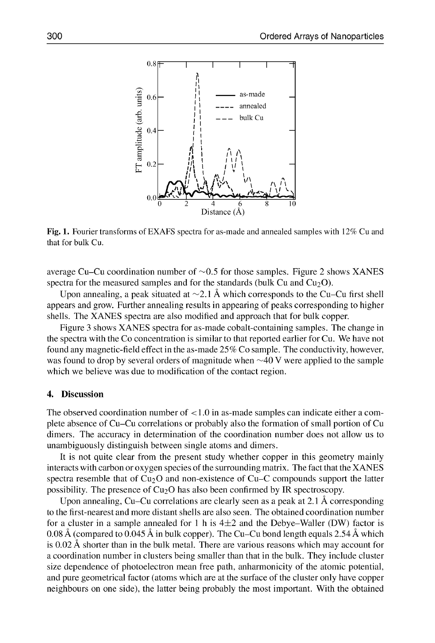

Fig. 1. Fourier transforms of EXAFS spectra for as-made and annealed samples with 12% Cu and that for bulk Cu.

average Cu–Cu coordination number of  $\sim 0.5$  for those samples. Figure 2 shows XANES spectra for the measured samples and for the standards (bulk Cu and  $Cu<sub>2</sub>O$ ).

Upon annealing, a peak situated at  $\sim$ 2.1 Å which corresponds to the Cu–Cu first shell appears and grow. Further annealing results in appearing of peaks corresponding to higher shells. The XANES spectra are also modified and approach that for bulk copper.

Figure 3 shows XANES spectra for as-made cobalt-containing samples. The change in the spectra with the Co concentration is similar to that reported earlier for Cu. We have not found any magnetic-field effect in the as-made 25% Co sample. The conductivity, however, was found to drop by several orders of magnitude when  $\sim$ 40 V were applied to the sample which we believe was due to modification of the contact region.

#### 4. Discussion

The observed coordination number of < 1.0 in as-made samples can indicate either a complete absence of Cu-Cu correlations or probably also the formation of small portion of Cu dimers. The accuracy in determination of the coordination number does not allow us to unambiguously distinguish between single atoms and dimers.

It is not quite clear from the present study whether copper in this geometry mainly interacts with carbon or oxygen species of the surrounding matrix. The fact that the XANES spectra resemble that of  $Cu<sub>2</sub>O$  and non-existence of Cu-C compounds support the latter possibility. The presence of  $Cu<sub>2</sub>O$  has also been confirmed by IR spectroscopy.

Upon annealing, Cu-Cu correlations are clearly seen as a peak at 2.1 **A** corresponding to the first-nearest and more distant shells are also seen. The obtained coordination number for a cluster in a sample annealed for 1 h is  $4\pm 2$  and the Debye-Waller (DW) factor is 0.08 **A** (compared to 0.045 **A** in bulk copper). The Cu-Cu bond length equals 2.54 **A** which is 0.02 A shorter than in the bulk metal. There are various reasons which may account for a coordination number in clusters being smaller than that in the bulk. They include cluster size dependence of photoelectron mean free path, anharmonicity of the atomic potential, and pure geometrical factor (atoms which are at the surface of the cluster only have copper neighbours on one side), the latter being probably the most important. With the obtained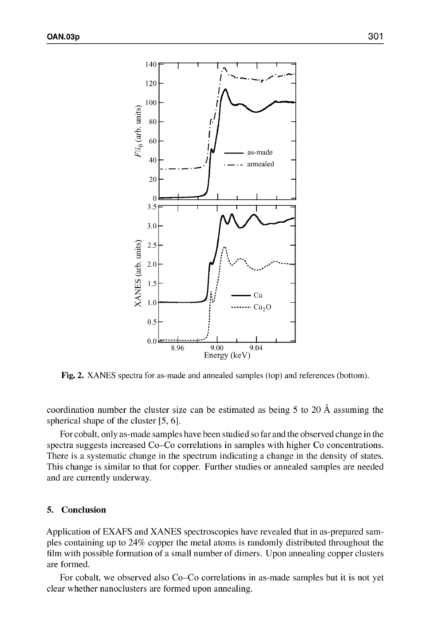

Fig. 2. XANES spectra for as-made and annealed samples (top) and references (bottom).

coordination number the cluster size can be estimated as being 5 to 20 A assuming the spherical shape of the cluster [5, 6].

For cobalt, only as-made samples have been studied so far and the observed change in the spectra suggests increased Co-Co correlations in samples with higher Co concentrations. There is a systematic change in the spectrum indicating a change in the density of states. This change is similar to that for copper. Further studies or annealed samples are needed and are currently underway.

#### 5. Conclusion

Application of EXAFS and XANES spectroscopies have revealed that in as-prepared samples containing up to 24% copper the metal atoms is randomly distributed throughout the film with possible formation of a small number of dimers. Upon annealing copper clusters are formed.

For cobalt, we observed also Co-Co correlations in as-made samples but it is not yet clear whether nanoclusters are formed upon annealing.